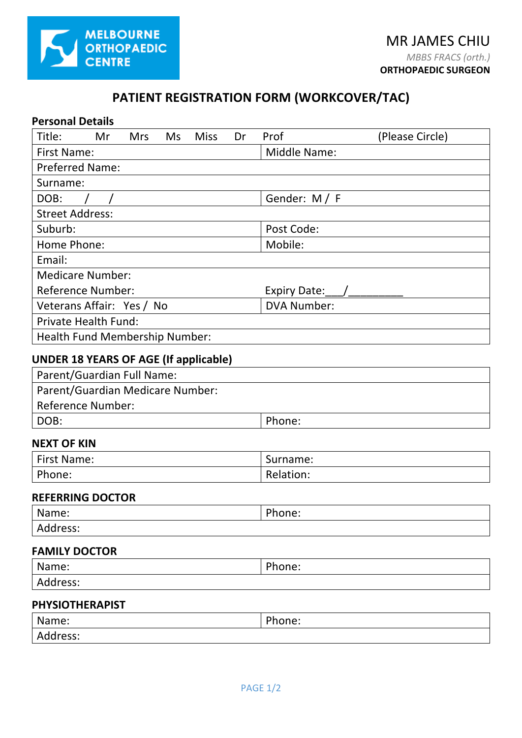

# **PATIENT REGISTRATION FORM (WORKCOVER/TAC)**

| Title:<br>Mr                                 | <b>Mrs</b> | Ms | <b>Miss</b> | Dr | Prof                  | (Please Circle) |
|----------------------------------------------|------------|----|-------------|----|-----------------------|-----------------|
| <b>First Name:</b>                           |            |    |             |    | <b>Middle Name:</b>   |                 |
| <b>Preferred Name:</b>                       |            |    |             |    |                       |                 |
| Surname:                                     |            |    |             |    |                       |                 |
| DOB:                                         |            |    |             |    | Gender: M / F         |                 |
| <b>Street Address:</b>                       |            |    |             |    |                       |                 |
| Suburb:                                      |            |    |             |    | Post Code:            |                 |
| Home Phone:                                  |            |    |             |    | Mobile:               |                 |
| Email:                                       |            |    |             |    |                       |                 |
| <b>Medicare Number:</b>                      |            |    |             |    |                       |                 |
| <b>Reference Number:</b>                     |            |    |             |    | Expiry Date: $\angle$ |                 |
| Veterans Affair: Yes / No                    |            |    |             |    | <b>DVA Number:</b>    |                 |
| <b>Private Health Fund:</b>                  |            |    |             |    |                       |                 |
| Health Fund Membership Number:               |            |    |             |    |                       |                 |
| <b>UNDER 18 YEARS OF AGE (If applicable)</b> |            |    |             |    |                       |                 |
| Parent/Guardian Full Name:                   |            |    |             |    |                       |                 |
| Parent/Guardian Medicare Number:             |            |    |             |    |                       |                 |
| <b>Reference Number:</b>                     |            |    |             |    |                       |                 |
| DOB:                                         |            |    |             |    | Phone:                |                 |
| <b>NEXT OF KIN</b>                           |            |    |             |    |                       |                 |
| <b>First Name:</b>                           |            |    |             |    | Surname:              |                 |
| Phone:                                       |            |    |             |    | Relation:             |                 |
| <b>REFERRING DOCTOR</b>                      |            |    |             |    |                       |                 |
| Name:                                        |            |    |             |    | Phone:                |                 |
| Address:                                     |            |    |             |    |                       |                 |
| <b>FAMILY DOCTOR</b>                         |            |    |             |    |                       |                 |
| Name:                                        |            |    |             |    | Phone:                |                 |
|                                              |            |    |             |    |                       |                 |

| Name:    | nL<br>'hone: |
|----------|--------------|
| Address: |              |